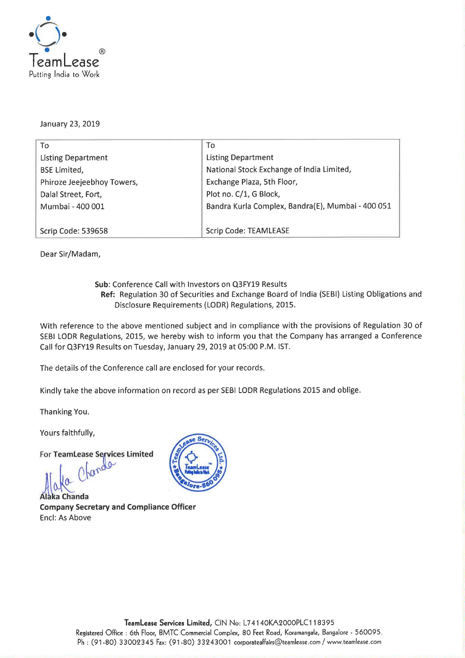

January 23, 2019

| To                         | To                                                |  |
|----------------------------|---------------------------------------------------|--|
| <b>Listing Department</b>  | <b>Listing Department</b>                         |  |
| <b>BSE Limited,</b>        | National Stock Exchange of India Limited,         |  |
| Phiroze Jeejeebhoy Towers, | Exchange Plaza, 5th Floor,                        |  |
| Dalal Street, Fort,        | Plot no. C/1, G Block,                            |  |
| Mumbai - 400 001           | Bandra Kurla Complex, Bandra(E), Mumbai - 400 051 |  |
|                            |                                                   |  |
| Scrip Code: 539658         | <b>Scrip Code: TEAMLEASE</b>                      |  |

Dear Sir/Madam,

Sub: Conference Call with Investors on QSFY19 Results

Ref: Regulation 30 of Securities and Exchange Board of India (SEBI) Listing Obligations and Disclosure Requirements (LODR) Regulations, 2015.

With reference to the above mentioned subject and in compliance with the provisions of Regulation 30 of SEBI LODR Regulations, 2015, we hereby wish to inform you that the Company has arranged <sup>a</sup> Conference Call for Q3FY19 Results on Tuesday, January 29, 2019 at 05:00 P.M. IST.

The details of the Conference call are enclosed for your records.

Kindly take the above information on record as per SEBI LODR Regulations 2015 and oblige.

Thanking You.

Yours faithfully,

For TeamLease Services Limited

Alaka Chanda Company Secretary and Compliance Officer Encl: As Above